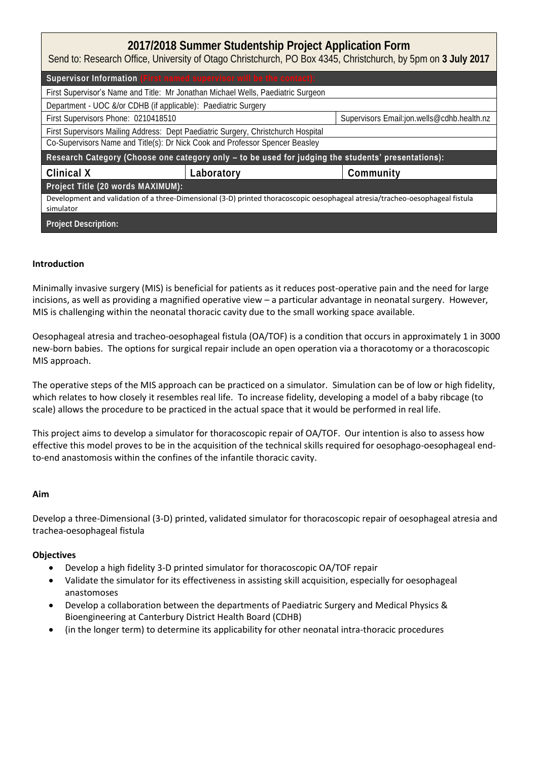| 2017/2018 Summer Studentship Project Application Form<br>Send to: Research Office, University of Otago Christchurch, PO Box 4345, Christchurch, by 5pm on 3 July 2017 |            |                                            |  |  |
|-----------------------------------------------------------------------------------------------------------------------------------------------------------------------|------------|--------------------------------------------|--|--|
| Supervisor Information (First named supervisor will be the contact):                                                                                                  |            |                                            |  |  |
| First Supervisor's Name and Title: Mr Jonathan Michael Wells, Paediatric Surgeon                                                                                      |            |                                            |  |  |
| Department - UOC &/or CDHB (if applicable): Paediatric Surgery                                                                                                        |            |                                            |  |  |
| First Supervisors Phone: 0210418510                                                                                                                                   |            | Supervisors Email:jon.wells@cdhb.health.nz |  |  |
| First Supervisors Mailing Address: Dept Paediatric Surgery, Christchurch Hospital                                                                                     |            |                                            |  |  |
| Co-Supervisors Name and Title(s): Dr Nick Cook and Professor Spencer Beasley                                                                                          |            |                                            |  |  |
| Research Category (Choose one category only - to be used for judging the students' presentations):                                                                    |            |                                            |  |  |
| Clinical X                                                                                                                                                            | Laboratory | Community                                  |  |  |
| Project Title (20 words MAXIMUM):                                                                                                                                     |            |                                            |  |  |
| Development and validation of a three-Dimensional (3-D) printed thoracoscopic oesophageal atresia/tracheo-oesophageal fistula<br>simulator                            |            |                                            |  |  |
| Project Description:                                                                                                                                                  |            |                                            |  |  |

## **Introduction**

Minimally invasive surgery (MIS) is beneficial for patients as it reduces post-operative pain and the need for large incisions, as well as providing a magnified operative view – a particular advantage in neonatal surgery. However, MIS is challenging within the neonatal thoracic cavity due to the small working space available.

Oesophageal atresia and tracheo-oesophageal fistula (OA/TOF) is a condition that occurs in approximately 1 in 3000 new-born babies. The options for surgical repair include an open operation via a thoracotomy or a thoracoscopic MIS approach.

The operative steps of the MIS approach can be practiced on a simulator. Simulation can be of low or high fidelity, which relates to how closely it resembles real life. To increase fidelity, developing a model of a baby ribcage (to scale) allows the procedure to be practiced in the actual space that it would be performed in real life.

This project aims to develop a simulator for thoracoscopic repair of OA/TOF. Our intention is also to assess how effective this model proves to be in the acquisition of the technical skills required for oesophago-oesophageal endto-end anastomosis within the confines of the infantile thoracic cavity.

### **Aim**

Develop a three-Dimensional (3-D) printed, validated simulator for thoracoscopic repair of oesophageal atresia and trachea-oesophageal fistula

### **Objectives**

- Develop a high fidelity 3-D printed simulator for thoracoscopic OA/TOF repair
- Validate the simulator for its effectiveness in assisting skill acquisition, especially for oesophageal anastomoses
- Develop a collaboration between the departments of Paediatric Surgery and Medical Physics & Bioengineering at Canterbury District Health Board (CDHB)
- (in the longer term) to determine its applicability for other neonatal intra-thoracic procedures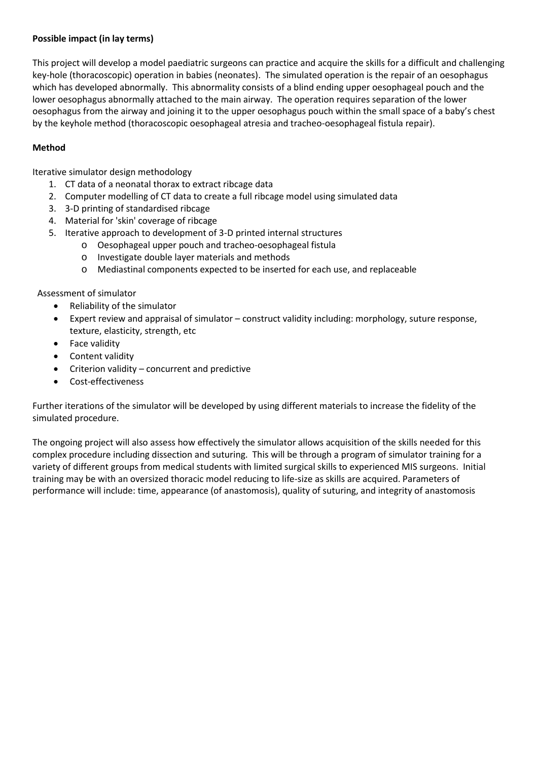## **Possible impact (in lay terms)**

This project will develop a model paediatric surgeons can practice and acquire the skills for a difficult and challenging key-hole (thoracoscopic) operation in babies (neonates). The simulated operation is the repair of an oesophagus which has developed abnormally. This abnormality consists of a blind ending upper oesophageal pouch and the lower oesophagus abnormally attached to the main airway. The operation requires separation of the lower oesophagus from the airway and joining it to the upper oesophagus pouch within the small space of a baby's chest by the keyhole method (thoracoscopic oesophageal atresia and tracheo-oesophageal fistula repair).

# **Method**

Iterative simulator design methodology

- 1. CT data of a neonatal thorax to extract ribcage data
- 2. Computer modelling of CT data to create a full ribcage model using simulated data
- 3. 3-D printing of standardised ribcage
- 4. Material for 'skin' coverage of ribcage
- 5. Iterative approach to development of 3-D printed internal structures
	- o Oesophageal upper pouch and tracheo-oesophageal fistula
	- o Investigate double layer materials and methods
	- o Mediastinal components expected to be inserted for each use, and replaceable

Assessment of simulator

- Reliability of the simulator
- Expert review and appraisal of simulator construct validity including: morphology, suture response, texture, elasticity, strength, etc
- Face validity
- Content validity
- Criterion validity concurrent and predictive
- Cost-effectiveness

Further iterations of the simulator will be developed by using different materials to increase the fidelity of the simulated procedure.

The ongoing project will also assess how effectively the simulator allows acquisition of the skills needed for this complex procedure including dissection and suturing. This will be through a program of simulator training for a variety of different groups from medical students with limited surgical skills to experienced MIS surgeons. Initial training may be with an oversized thoracic model reducing to life-size as skills are acquired. Parameters of performance will include: time, appearance (of anastomosis), quality of suturing, and integrity of anastomosis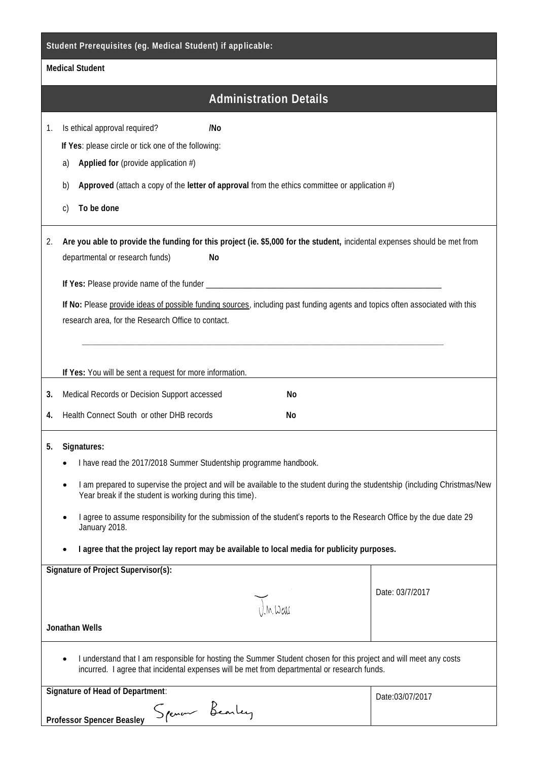| Medical Student                                                                                                                                                                                                                                                                                                                                                                                                                                                                                                           |                                                                                                                                                                                                                                                                                                                                                                                                                      |                 |  |  |
|---------------------------------------------------------------------------------------------------------------------------------------------------------------------------------------------------------------------------------------------------------------------------------------------------------------------------------------------------------------------------------------------------------------------------------------------------------------------------------------------------------------------------|----------------------------------------------------------------------------------------------------------------------------------------------------------------------------------------------------------------------------------------------------------------------------------------------------------------------------------------------------------------------------------------------------------------------|-----------------|--|--|
|                                                                                                                                                                                                                                                                                                                                                                                                                                                                                                                           | <b>Administration Details</b>                                                                                                                                                                                                                                                                                                                                                                                        |                 |  |  |
| 1.                                                                                                                                                                                                                                                                                                                                                                                                                                                                                                                        | Is ethical approval required?<br>/No<br>If Yes: please circle or tick one of the following:<br>Applied for (provide application $#$ )<br>a)<br>Approved (attach a copy of the letter of approval from the ethics committee or application $#$ )<br>b)<br>To be done<br>$\mathsf{C}$                                                                                                                                  |                 |  |  |
| 2.                                                                                                                                                                                                                                                                                                                                                                                                                                                                                                                        | Are you able to provide the funding for this project (ie. \$5,000 for the student, incidental expenses should be met from<br>departmental or research funds)<br>No<br>If No: Please provide ideas of possible funding sources, including past funding agents and topics often associated with this<br>research area, for the Research Office to contact.<br>If Yes: You will be sent a request for more information. |                 |  |  |
| 3.                                                                                                                                                                                                                                                                                                                                                                                                                                                                                                                        | Medical Records or Decision Support accessed<br>No                                                                                                                                                                                                                                                                                                                                                                   |                 |  |  |
|                                                                                                                                                                                                                                                                                                                                                                                                                                                                                                                           | Health Connect South or other DHB records<br>No                                                                                                                                                                                                                                                                                                                                                                      |                 |  |  |
| 4.                                                                                                                                                                                                                                                                                                                                                                                                                                                                                                                        |                                                                                                                                                                                                                                                                                                                                                                                                                      |                 |  |  |
| Signatures:<br>5.<br>I have read the 2017/2018 Summer Studentship programme handbook.<br>I am prepared to supervise the project and will be available to the student during the studentship (including Christmas/New<br>Year break if the student is working during this time).<br>I agree to assume responsibility for the submission of the student's reports to the Research Office by the due date 29<br>January 2018.<br>I agree that the project lay report may be available to local media for publicity purposes. |                                                                                                                                                                                                                                                                                                                                                                                                                      |                 |  |  |
|                                                                                                                                                                                                                                                                                                                                                                                                                                                                                                                           | Signature of Project Supervisor(s):                                                                                                                                                                                                                                                                                                                                                                                  |                 |  |  |
| $U_{m}$<br>Jonathan Wells                                                                                                                                                                                                                                                                                                                                                                                                                                                                                                 |                                                                                                                                                                                                                                                                                                                                                                                                                      | Date: 03/7/2017 |  |  |
| I understand that I am responsible for hosting the Summer Student chosen for this project and will meet any costs<br>incurred. I agree that incidental expenses will be met from departmental or research funds.                                                                                                                                                                                                                                                                                                          |                                                                                                                                                                                                                                                                                                                                                                                                                      |                 |  |  |
|                                                                                                                                                                                                                                                                                                                                                                                                                                                                                                                           | Signature of Head of Department:<br>Spenar Bearley<br>Professor Spencer Beasley                                                                                                                                                                                                                                                                                                                                      | Date:03/07/2017 |  |  |